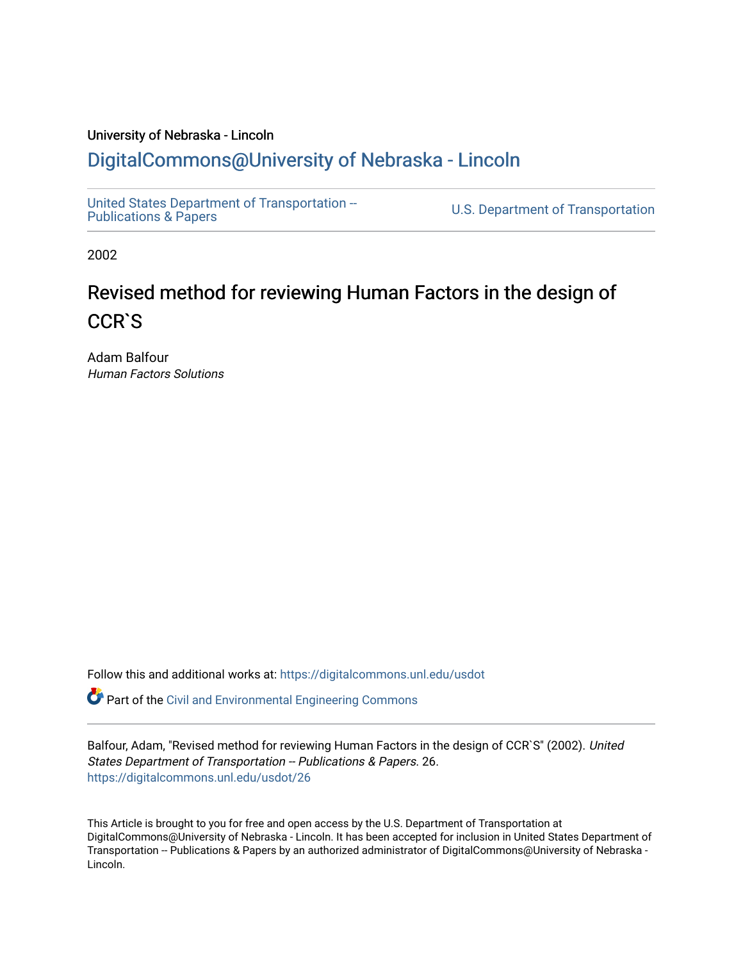#### University of Nebraska - Lincoln [DigitalCommons@University of Nebraska - Lincoln](https://digitalcommons.unl.edu/)

[United States Department of Transportation --](https://digitalcommons.unl.edu/usdot)<br>Publications & Papers

U.S. Department of Transportation

2002

#### Revised method for reviewing Human Factors in the design of CCR`S

Adam Balfour Human Factors Solutions

Follow this and additional works at: [https://digitalcommons.unl.edu/usdot](https://digitalcommons.unl.edu/usdot?utm_source=digitalcommons.unl.edu%2Fusdot%2F26&utm_medium=PDF&utm_campaign=PDFCoverPages) 

**P** Part of the [Civil and Environmental Engineering Commons](http://network.bepress.com/hgg/discipline/251?utm_source=digitalcommons.unl.edu%2Fusdot%2F26&utm_medium=PDF&utm_campaign=PDFCoverPages)

Balfour, Adam, "Revised method for reviewing Human Factors in the design of CCR`S" (2002). United States Department of Transportation -- Publications & Papers. 26. [https://digitalcommons.unl.edu/usdot/26](https://digitalcommons.unl.edu/usdot/26?utm_source=digitalcommons.unl.edu%2Fusdot%2F26&utm_medium=PDF&utm_campaign=PDFCoverPages)

This Article is brought to you for free and open access by the U.S. Department of Transportation at DigitalCommons@University of Nebraska - Lincoln. It has been accepted for inclusion in United States Department of Transportation -- Publications & Papers by an authorized administrator of DigitalCommons@University of Nebraska -Lincoln.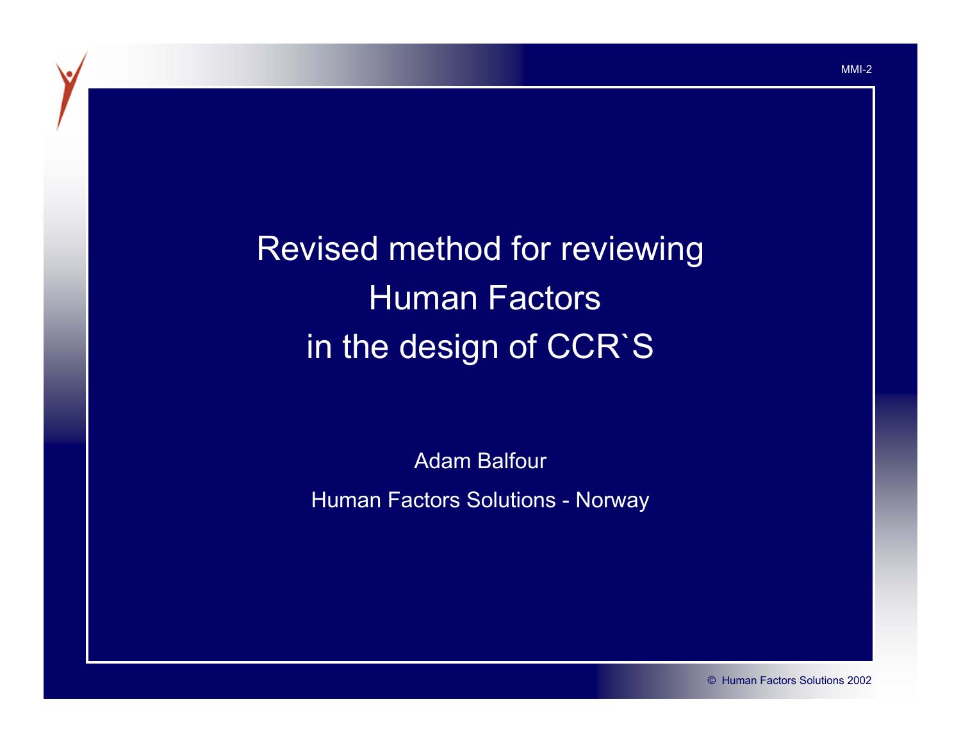Revised method for reviewing Human Factors in the design of CCR`S

> Adam BalfourHuman Factors Solutions - Norway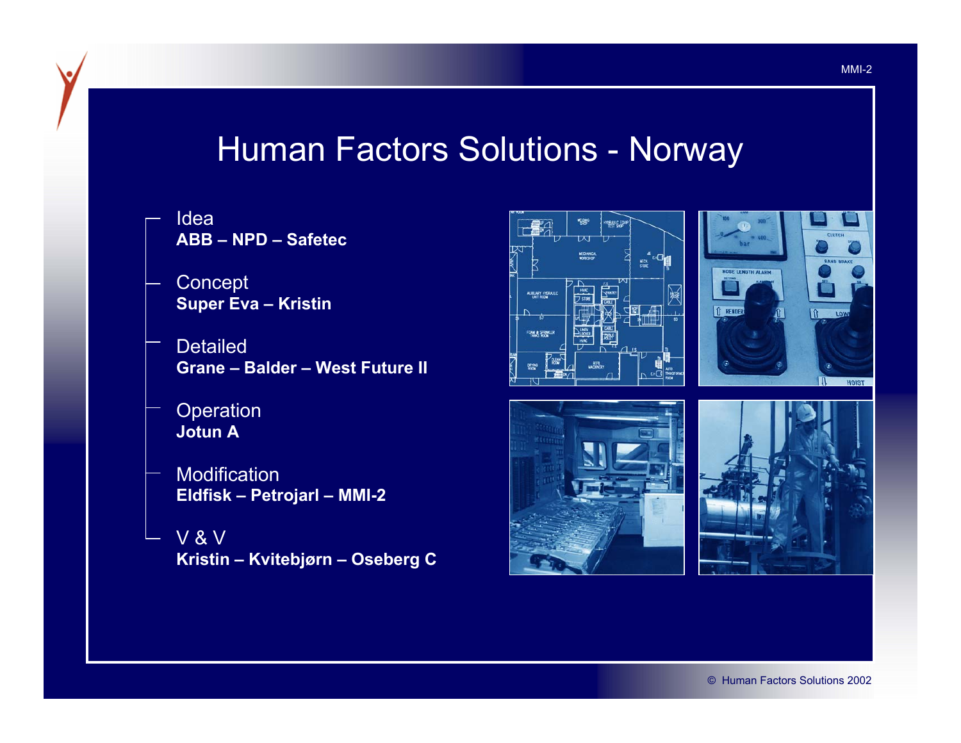#### Human Factors Solutions - Norway

- Idea**ABB –NPD –Safetec**
- **Concept Super Eva – Kristin**
- **Detailed Grane –Balder –West Future II**
- **Operation Jotun A**
- Modification **Eldfisk – Petrojarl – MMI-2**
- V & V**Kristin – Kvitebjørn – Oseb erg C**







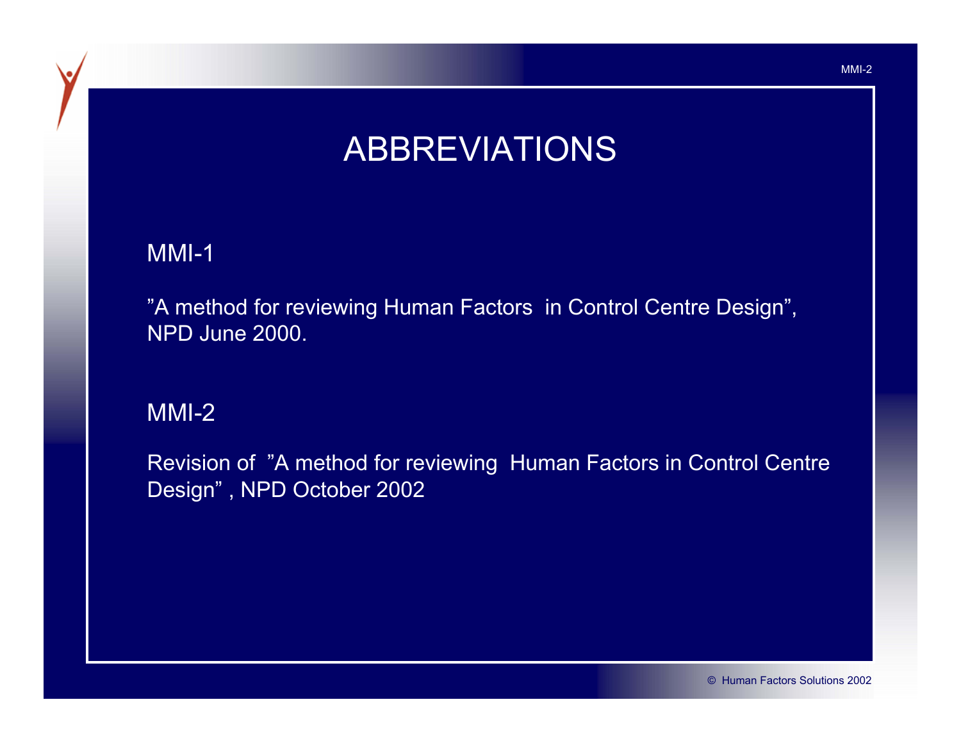## ABBREVIATIONS

#### MMI-1

"A method for reviewing Human Factors in Control Centre Design", NPD June 2000.

#### MMI-2

Revision of "A method for reviewing Human Factors in Control Centre Design" , NPD October 2002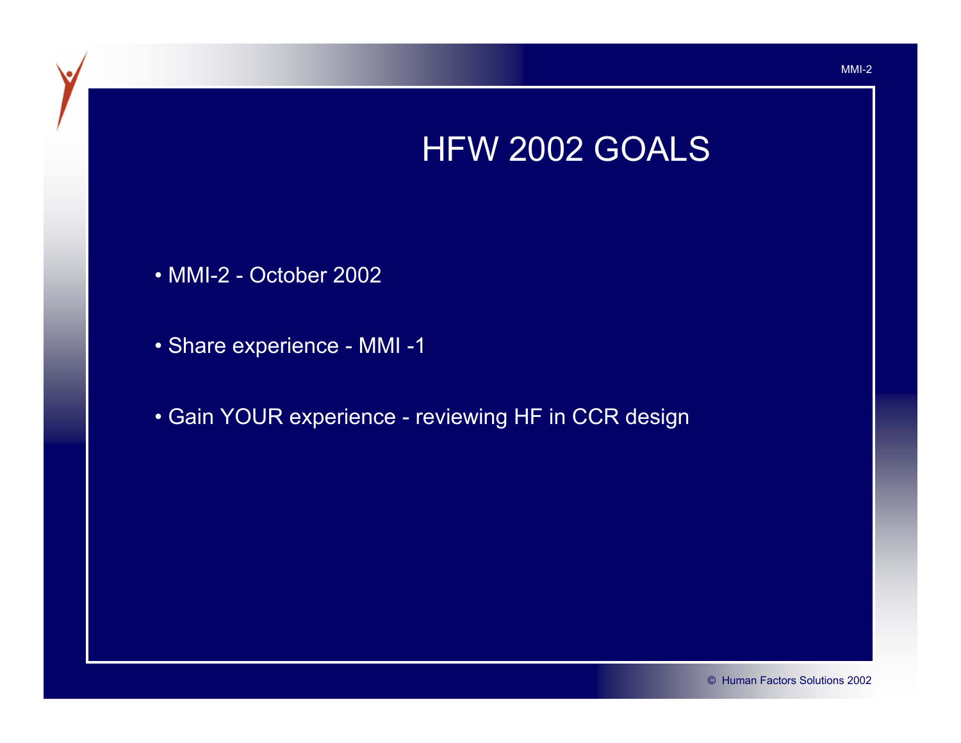### HFW 2002 GOALS

- MMI-2 October 2002
- Share experience MMI -1
- Gain YOUR experience reviewing HF in CCR design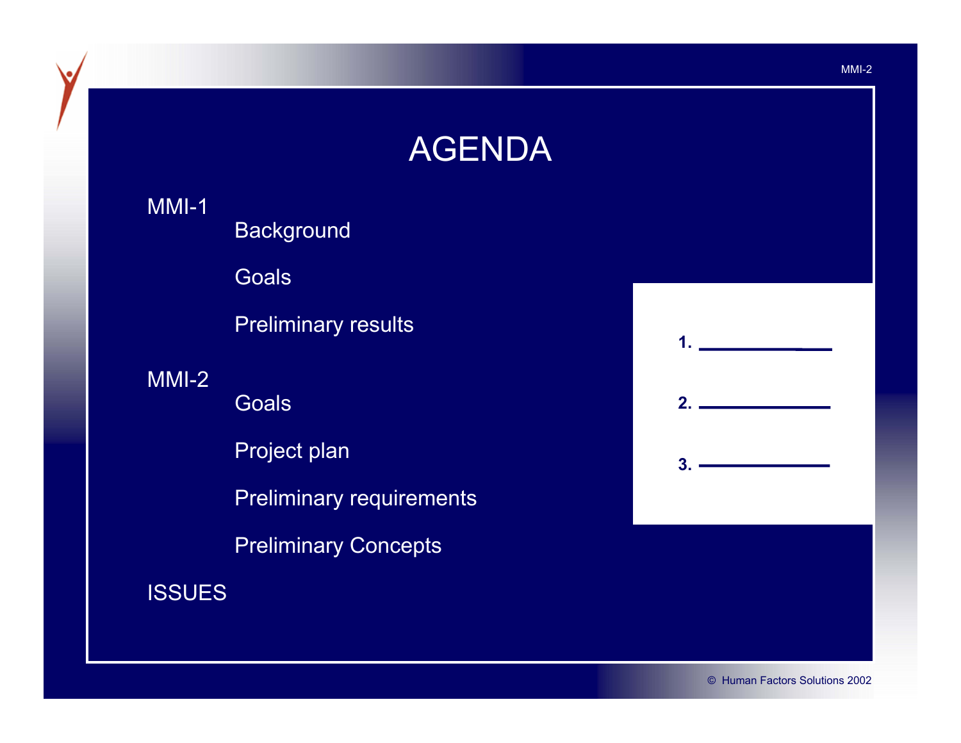## AGENDA

MMI-1 **Background** Goals Preliminary results MMI-2 Goals Project plan Preliminary requirements Preliminary Concepts ISSUES

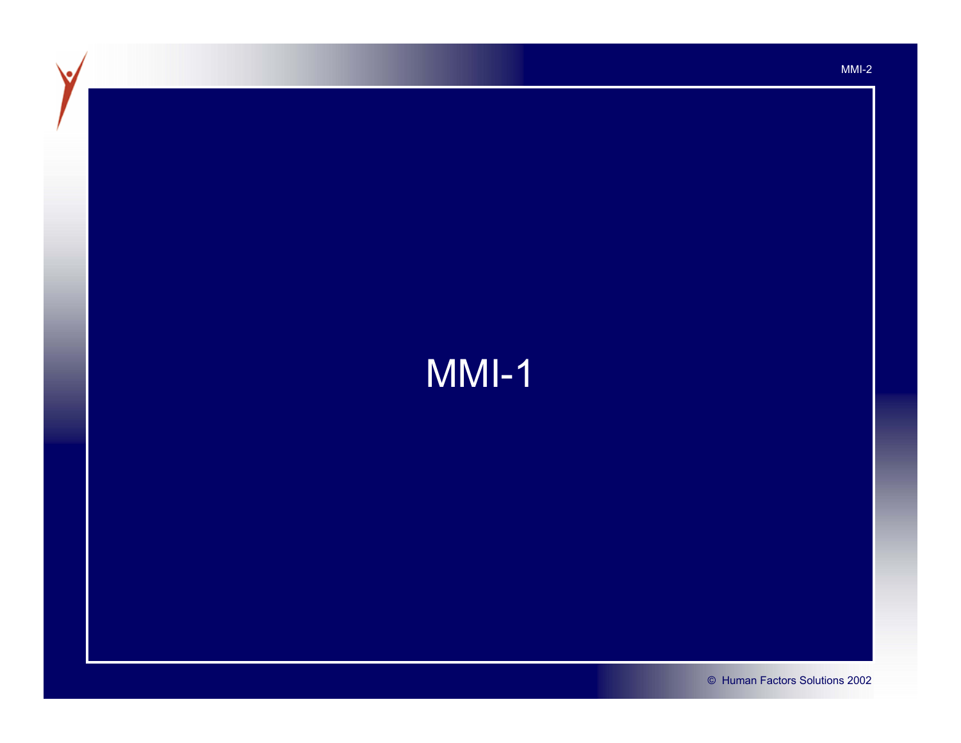# MMI-1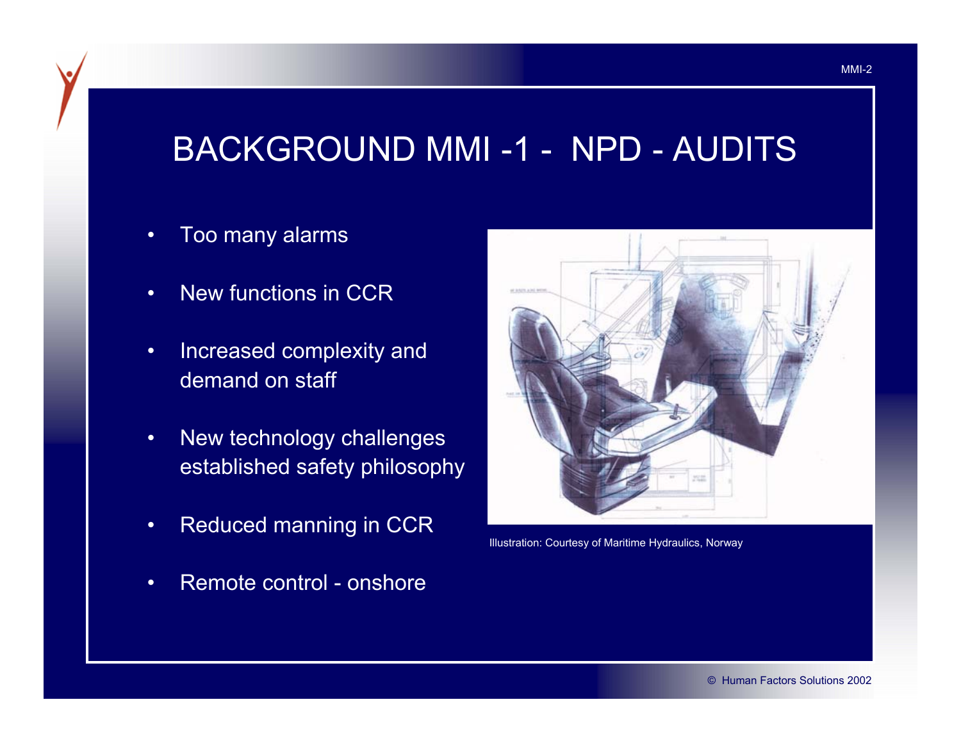### BACKGROUND MMI -1 - NPD - AUDITS

- •Too many alarms
- •New functions in CCR
- • Increased complexity and demand on staff
- • New technology challenges established safety philosophy
- •Reduced manning in CCR
- •Remote control - onshore



Illustration: Courtesy of Maritime Hydraulics, Nor way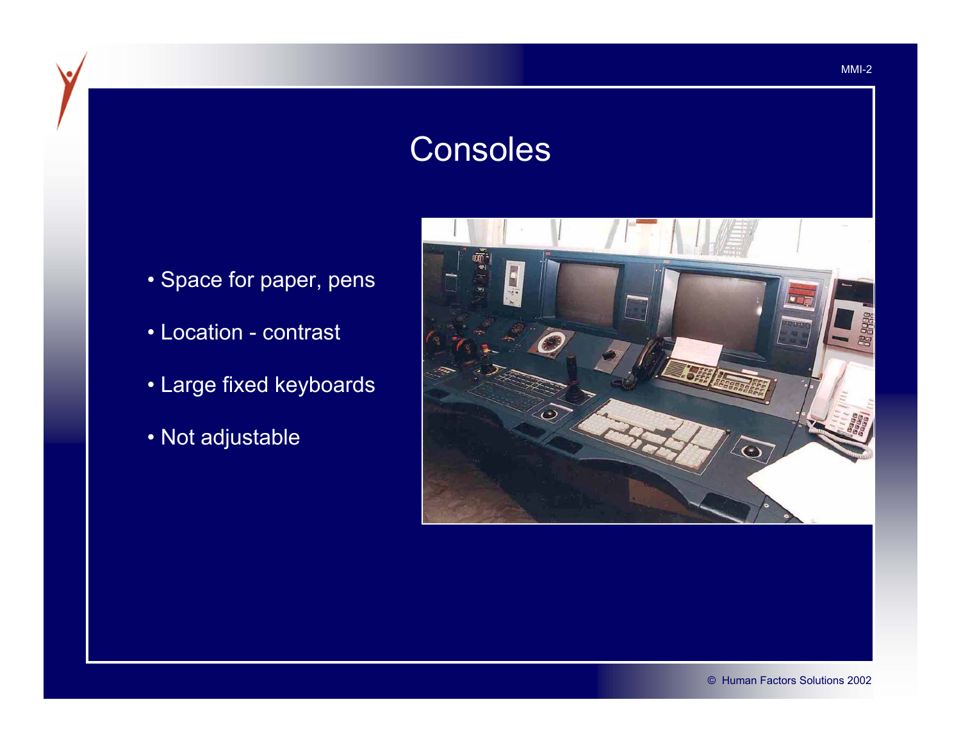## Consoles

- Space for paper, pens
- Location contrast
- Large fixed keyboards
- Not adjustable

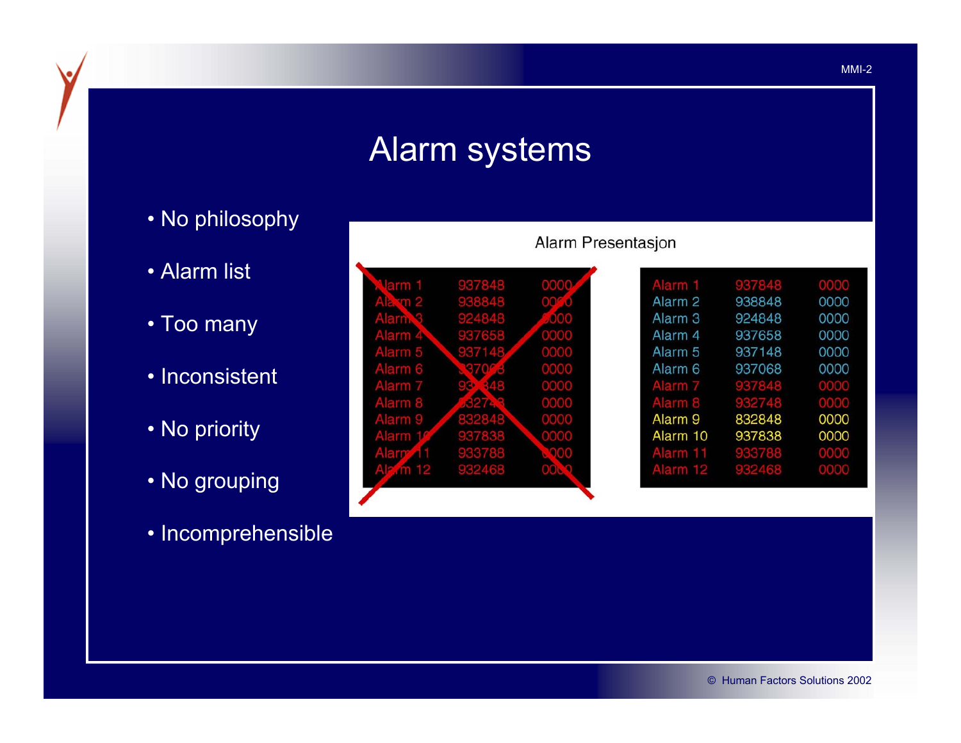## Alarm systems

- No philosophy
- Alarm list
- Too many
- Inconsistent
- No priority
- No grouping
- Incomprehensible

| arm        | 937848 |      |
|------------|--------|------|
|            | 938848 |      |
|            | 4848   |      |
| rm         | 7658   | 0000 |
| Alarm 5    |        | 0000 |
| Alarm 6    |        | 0000 |
| Alarm 7    |        | 0000 |
| 8<br>Alarm |        | 0000 |
| 9<br>Alarm | 832848 | 0000 |
| arm        | 937838 | 0000 |
|            | 933788 |      |
|            | 932468 |      |

#### Alarm Presentasjon

| Alarm <sub>1</sub> | 937848 | 0000        |
|--------------------|--------|-------------|
| Alarm <sub>2</sub> | 938848 | 0000        |
| Alarm 3            | 924848 | 0000        |
| Alarm 4            | 937658 | 0000        |
| Alarm 5            | 937148 | 0000        |
| Alarm 6            | 937068 | 0000        |
| Alarm <sub>7</sub> | 937848 | 0000        |
| Alarm 8            | 932748 | 0000        |
| Alarm <sub>9</sub> | 832848 | 0000        |
| Alarm 10           | 937838 | 0000        |
| Alarm 11           | 933788 | 0000        |
| Alarm 12           | 932468 | <b>0000</b> |
|                    |        |             |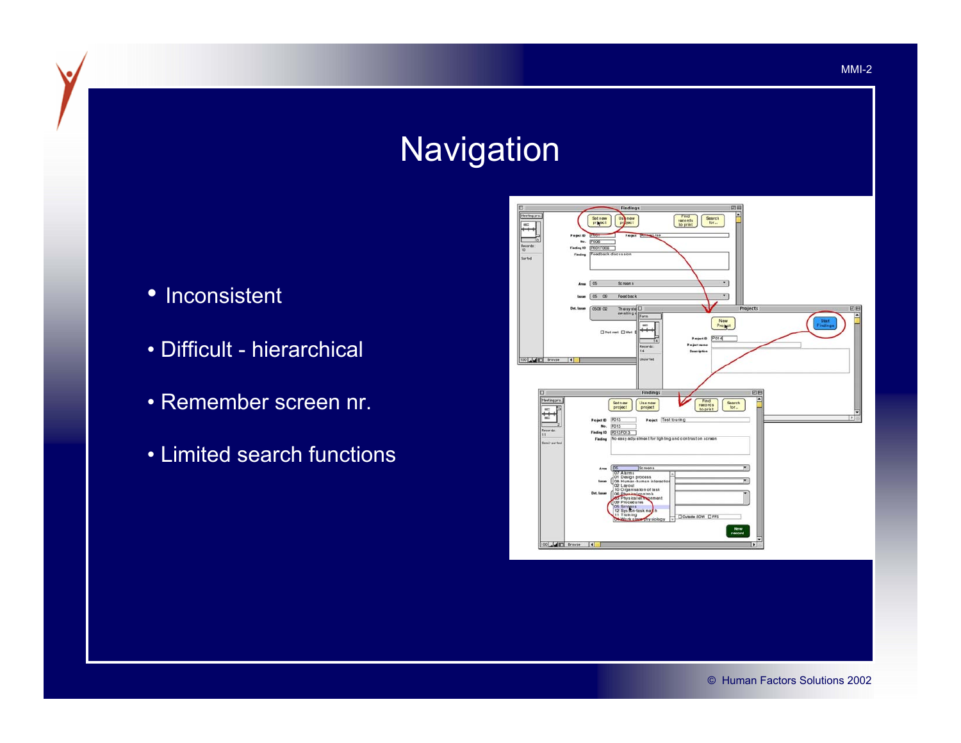## **Navigation**

- Inconsistent
- Difficult hierarchical
- Remember screen nr.
- Limited search functions

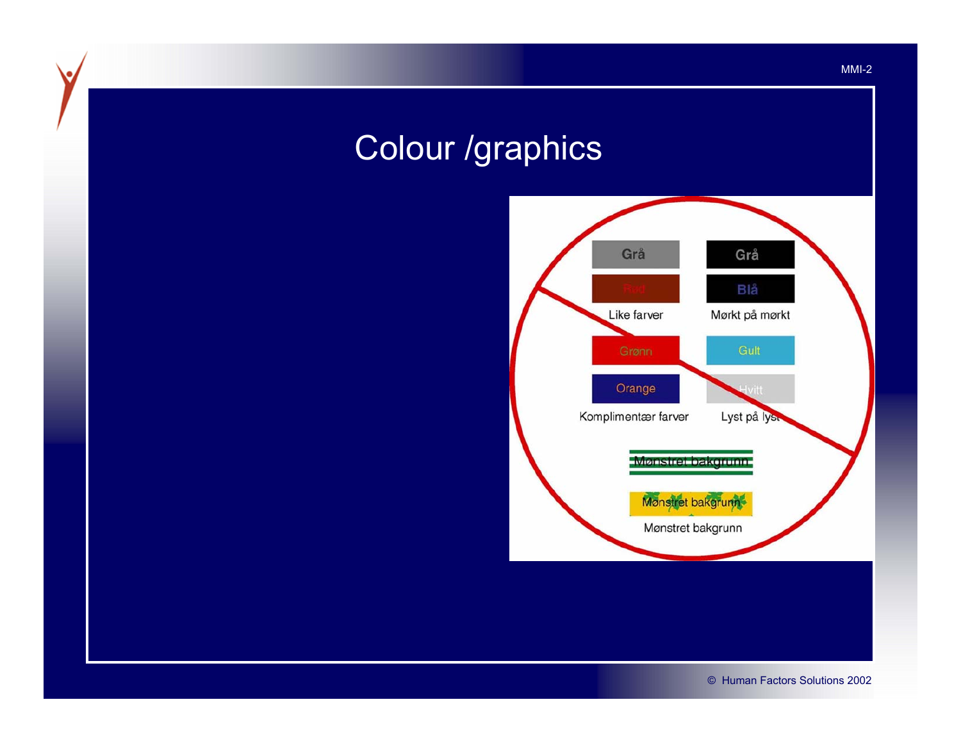## Colour /graphics

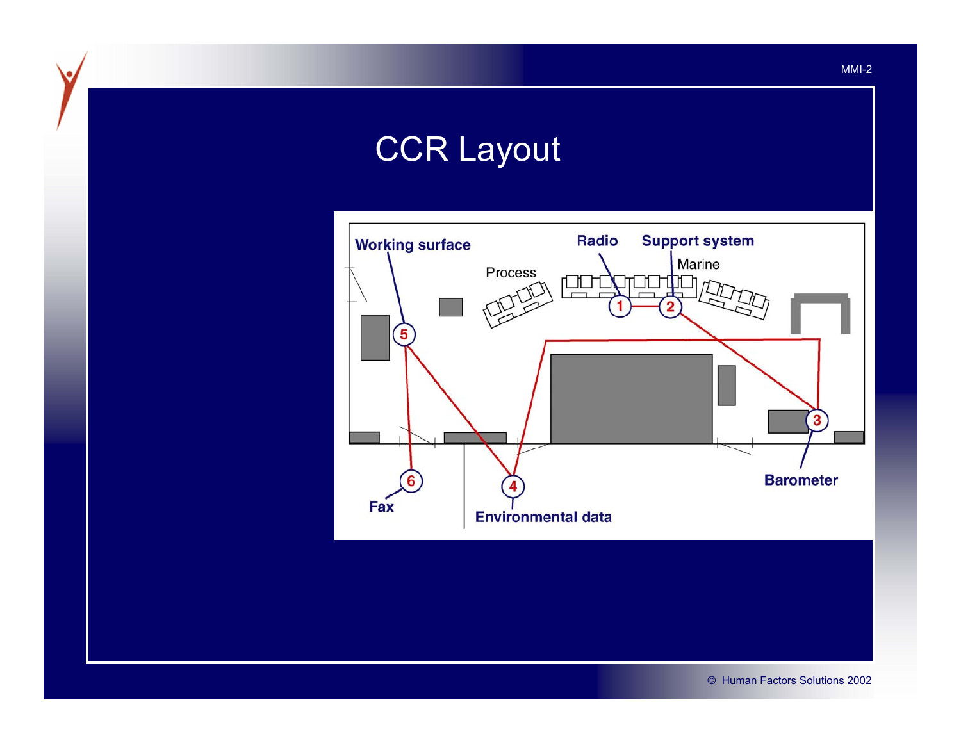## CCR Layout



© Human Factors Solutions 2002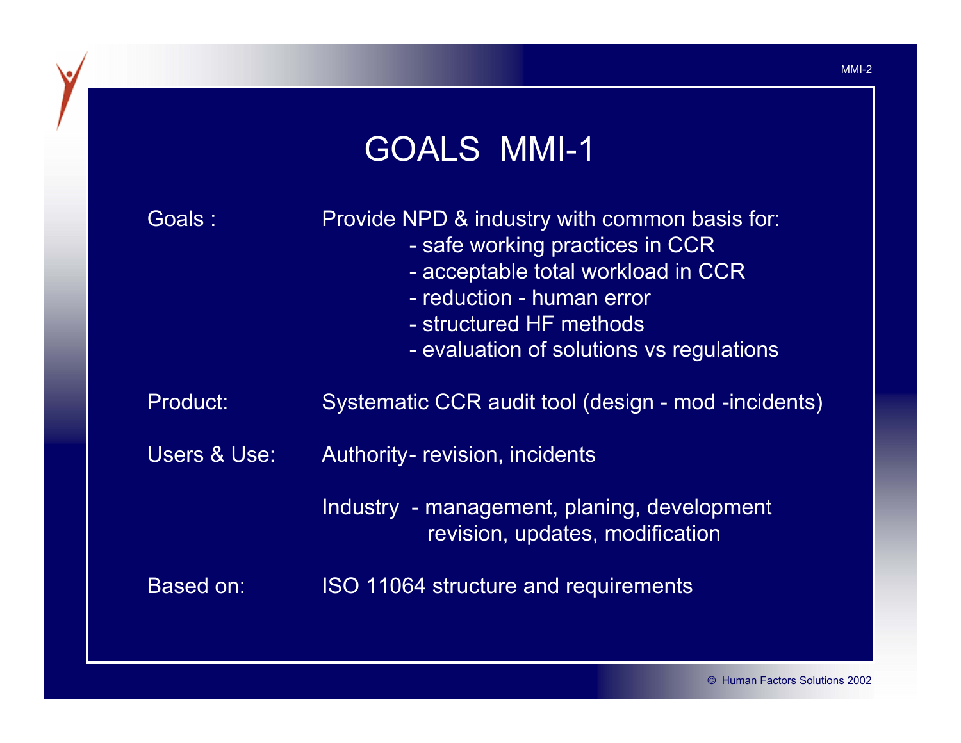|              | <b>GOALS MMI-1</b>                                                                                                                                                                                                         |
|--------------|----------------------------------------------------------------------------------------------------------------------------------------------------------------------------------------------------------------------------|
| Goals:       | Provide NPD & industry with common basis for:<br>- safe working practices in CCR<br>- acceptable total workload in CCR<br>- reduction - human error<br>- structured HF methods<br>- evaluation of solutions vs regulations |
| Product:     | Systematic CCR audit tool (design - mod -incidents)                                                                                                                                                                        |
| Users & Use: | Authority-revision, incidents                                                                                                                                                                                              |
|              | Industry - management, planing, development<br>revision, updates, modification                                                                                                                                             |
| Based on:    | ISO 11064 structure and requirements                                                                                                                                                                                       |

MMI-2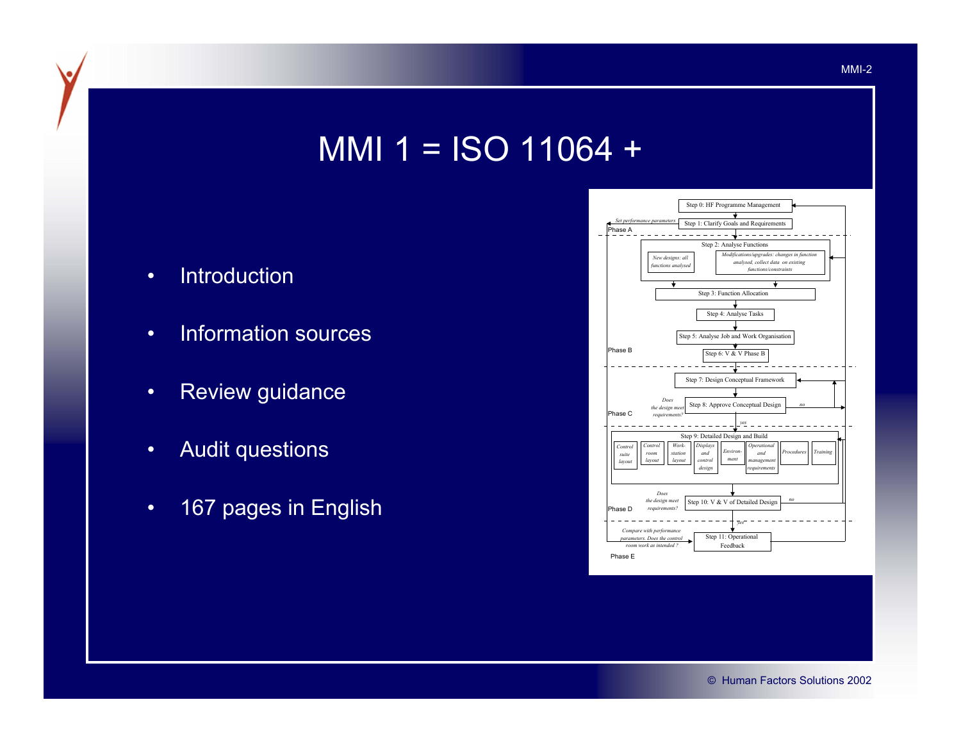#### MMI 1 = ISO 11064 +

- •• Introduction
- •• Information sources
- •Review guidance
- •Audit questions
- •167 pages in English

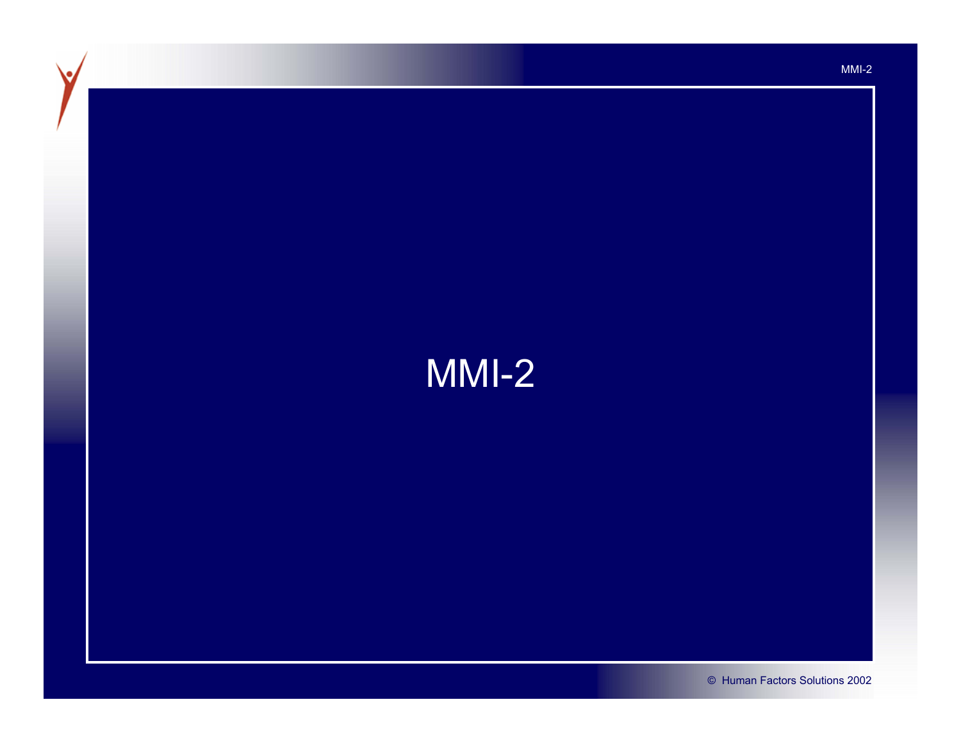# MMI-2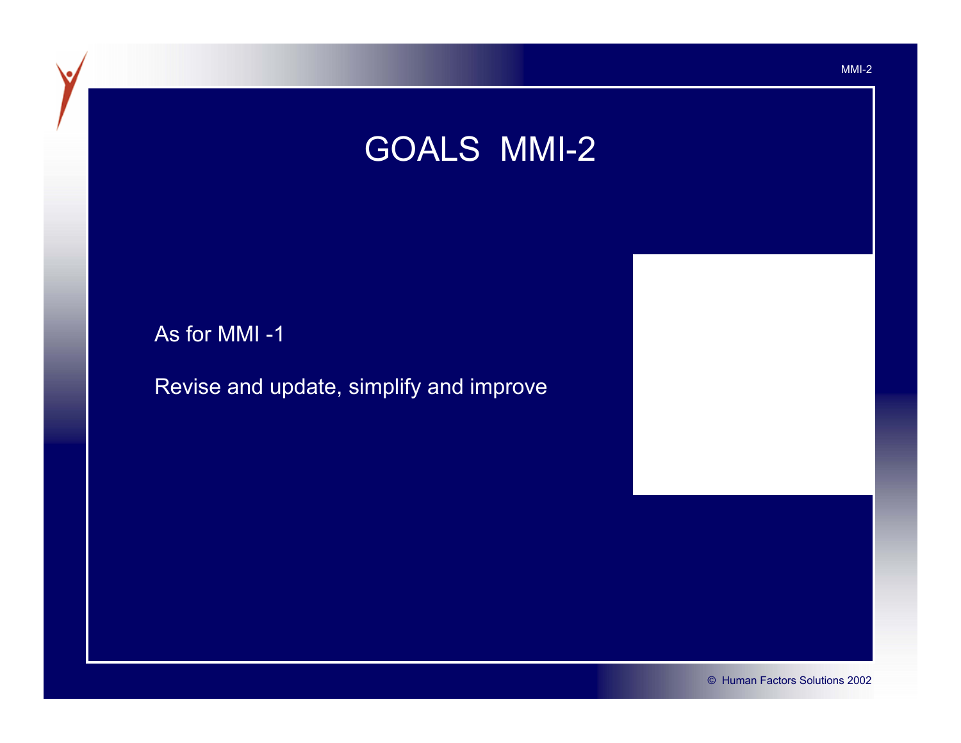#### GOALS MMI-2

#### As for MMI -1

#### Revise and update, simplify and improve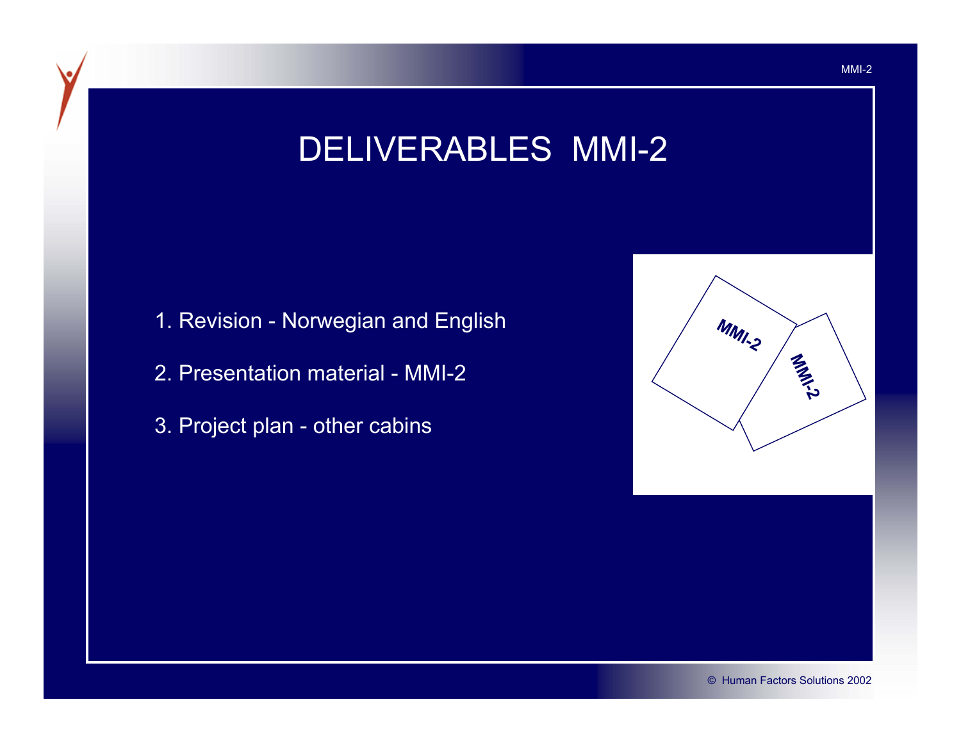### DELIVERABLES MMI-2

- 1. Revision Norwegian and English
- 2. Presentation material MMI-2
- 3. Project plan other cabins

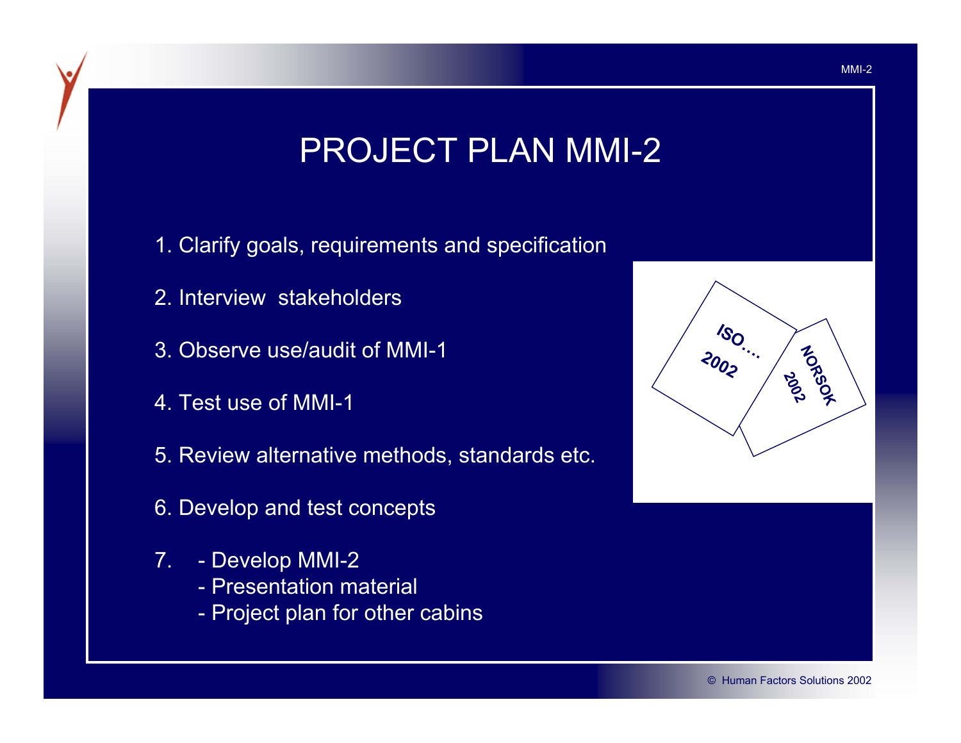### PROJECT PLAN MMI-2

- 1. Clarify goals, requirements and specification
- 2. Interview stakeholders
- 3. Observe use/audit of MMI-1
- 4. Test use of MMI-1
- 5. Review alternative methods, standards etc.
- 6. Develop and test concepts
- 7. Develop MMI-2
	- Presentation material
	- Project plan for other cabins

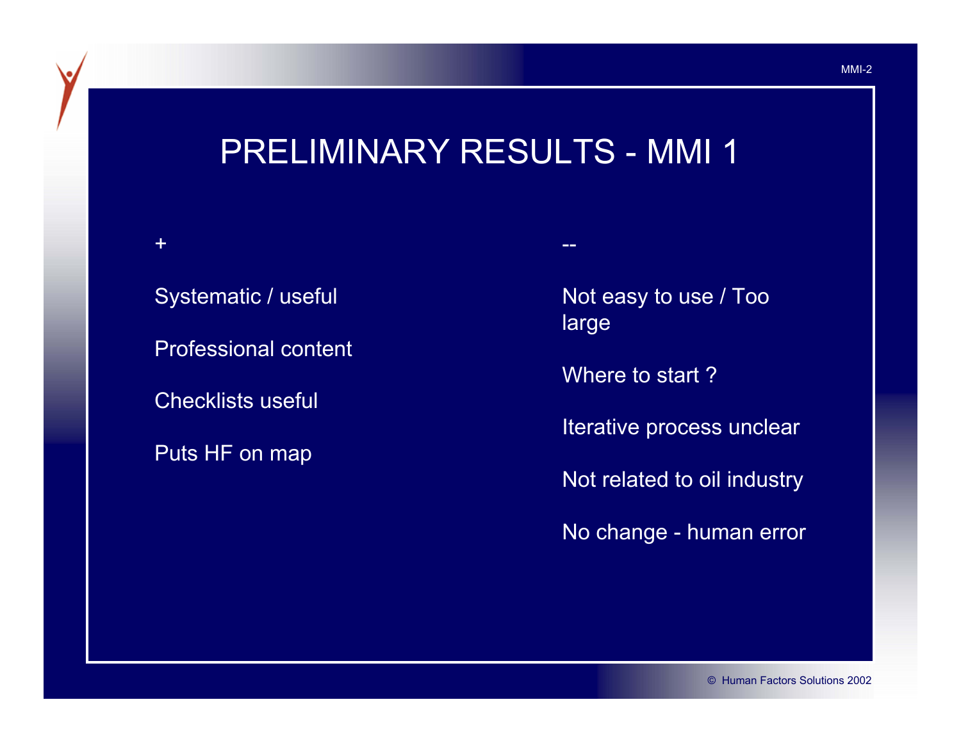### PRELIMINARY RESULTS - MMI 1

Systematic / useful

+

Professional content

Checklists useful

Puts HF on map

Not easy to use / Too large

Where to start ?

--

Iterative process unclear

Not related to oil industry

No change - human error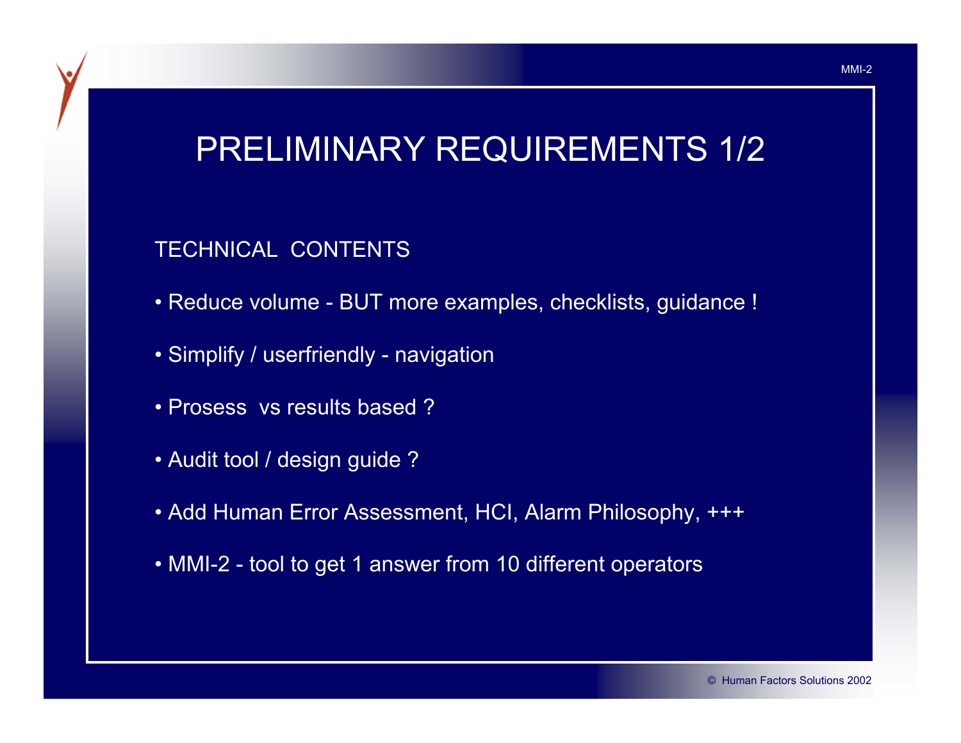## PRELIMINARY REQUIREMENTS 1/2

#### TECHNICAL CONTENTS

- Reduce volume BUT more examples, checklists, guidance !
- Simplify / userfriendly navigation
- Prosess vs results based ?
- Audit tool / design guide ?
- Add Human Error Assessment, HCI, Alarm Philosophy, +++
- MMI-2 tool to get 1 answer from 10 different operators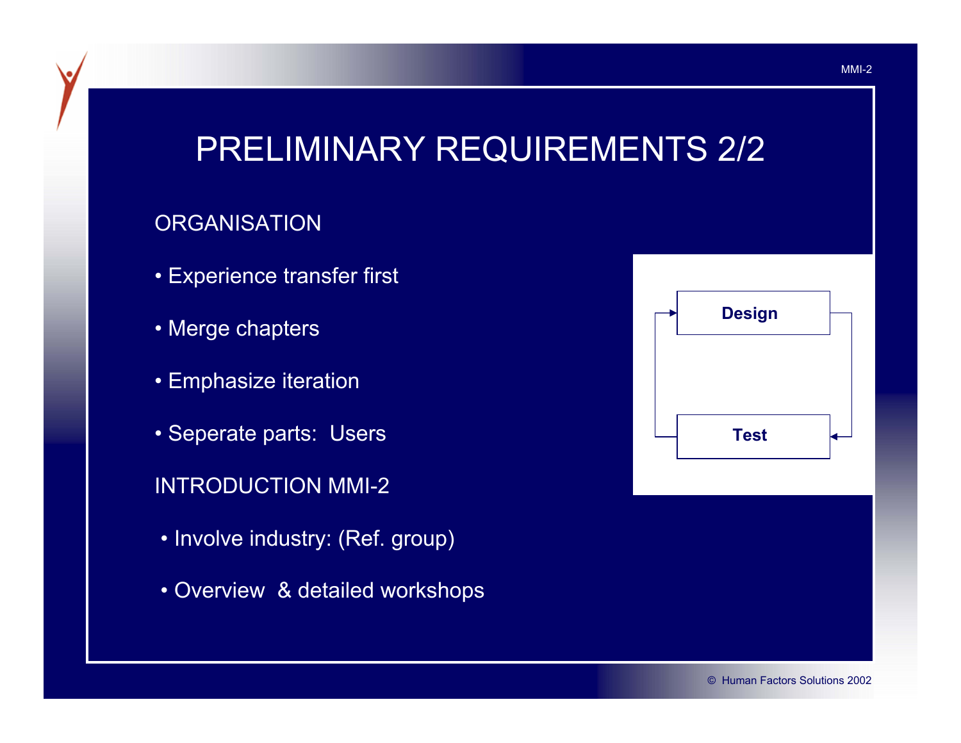## PRELIMINARY REQUIREMENTS 2/2

#### **ORGANISATION**

- Experience transfer first
- Merge chapters
- Emphasize iteration
- Seperate parts: Users

#### INTRODUCTION MMI-2

- Involve industry: (Ref. group)
- Overview & detailed workshops

| <b>Design</b> |  |
|---------------|--|
|               |  |
| <b>Test</b>   |  |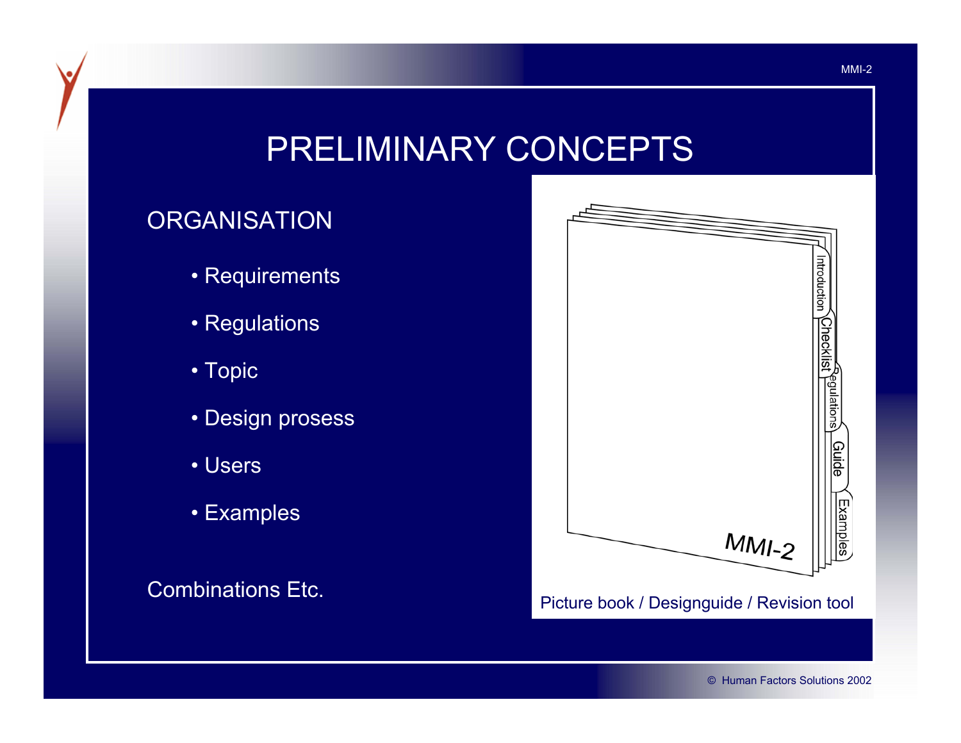### PRELIMINARY CONCEPTS

#### ORGANISATION

- Requirements
- Regulations
- Topic
- Design prosess
- Users
- Examples

Combinations Etc.

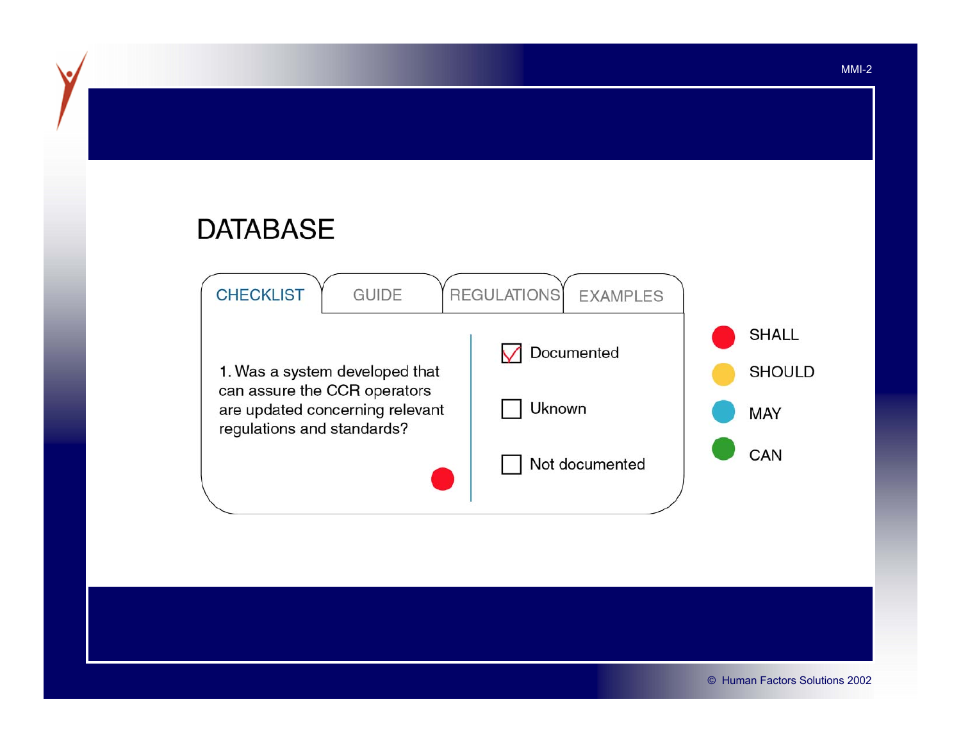#### **DATABASE**